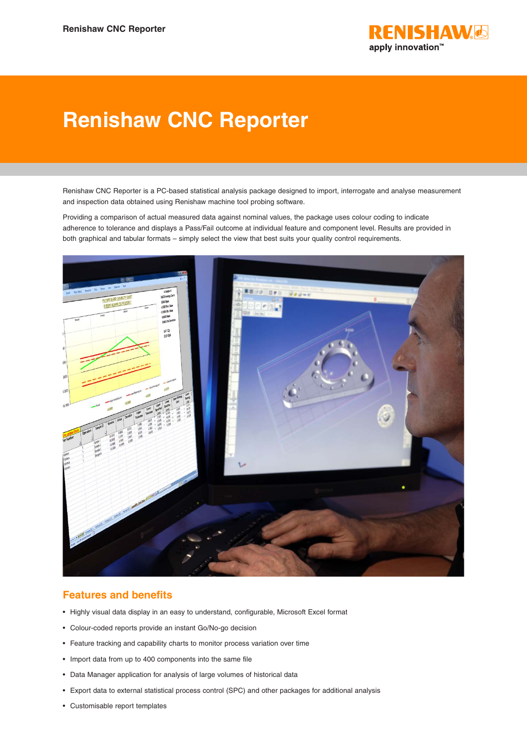

# **Renishaw CNC Reporter**

Renishaw CNC Reporter is a PC-based statistical analysis package designed to import, interrogate and analyse measurement and inspection data obtained using Renishaw machine tool probing software.

Providing a comparison of actual measured data against nominal values, the package uses colour coding to indicate adherence to tolerance and displays a Pass/Fail outcome at individual feature and component level. Results are provided in both graphical and tabular formats – simply select the view that best suits your quality control requirements.



## **Features and benefits**

- Highly visual data display in an easy to understand, configurable, Microsoft Excel format
- Colour-coded reports provide an instant Go/No-go decision
- Feature tracking and capability charts to monitor process variation over time
- Import data from up to 400 components into the same file
- Data Manager application for analysis of large volumes of historical data
- Export data to external statistical process control (SPC) and other packages for additional analysis
- Customisable report templates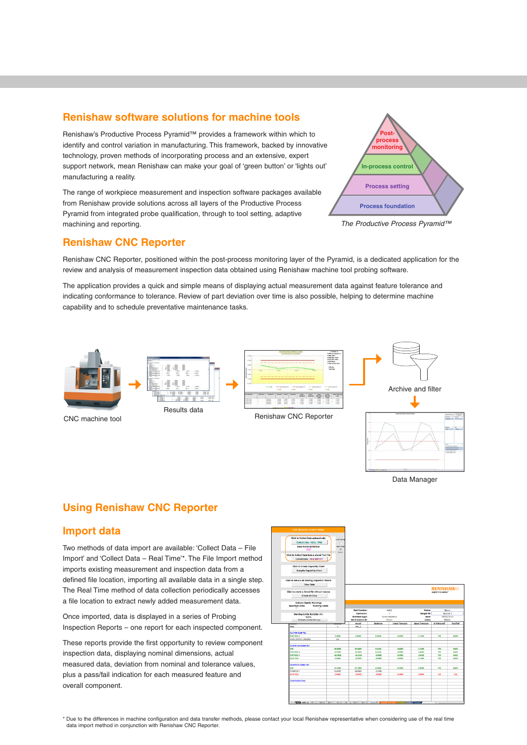### **Renishaw software solutions for machine tools**

Renishaw's Productive Process Pyramid™ provides a framework within which to identify and control variation in manufacturing. This framework, backed by innovative technology, proven methods of incorporating process and an extensive, expert support network, mean Renishaw can make your goal of 'green button' or 'lights out' manufacturing a reality.

The range of workpiece measurement and inspection software packages available from Renishaw provide solutions across all layers of the Productive Process Pyramid from integrated probe qualification, through to tool setting, adaptive machining and reporting. *The Productive Process Pyramid™*



### **Renishaw CNC Reporter**

Renishaw CNC Reporter, positioned within the post-process monitoring layer of the Pyramid, is a dedicated application for the review and analysis of measurement inspection data obtained using Renishaw machine tool probing software.

The application provides a quick and simple means of displaying actual measurement data against feature tolerance and indicating conformance to tolerance. Review of part deviation over time is also possible, helping to determine machine capability and to schedule preventative maintenance tasks.











Data Manager

## **Using Renishaw CNC Reporter**

### **Import data**

Two methods of data import are available: 'Collect Data – File Import' and 'Collect Data – Real Time'\*. The File Import method imports existing measurement and inspection data from a defined file location, importing all available data in a single step. The Real Time method of data collection periodically accesses a file location to extract newly added measurement data.

Once imported, data is displayed in a series of Probing Inspection Reports – one report for each inspected component.

These reports provide the first opportunity to review component inspection data, displaying nominal dimensions, actual measured data, deviation from nominal and tolerance values, plus a pass/fail indication for each measured feature and overall component.

| <b>A TEM PRODUCTION AND INTERNATIONAL PRODUCT</b>          |                    |                                  |                  |                        |                        |                                                  |                                           |
|------------------------------------------------------------|--------------------|----------------------------------|------------------|------------------------|------------------------|--------------------------------------------------|-------------------------------------------|
|                                                            |                    |                                  |                  |                        |                        |                                                  |                                           |
| Click to Collect Data automatically                        | <b>Lock Server</b> |                                  |                  |                        |                        |                                                  |                                           |
| <b>Collect Data - REAL TIME</b>                            | n                  |                                  |                  |                        |                        |                                                  |                                           |
| Data Retrieval Method<br>TEXT                              |                    |                                  |                  |                        |                        |                                                  |                                           |
|                                                            | (sec)              |                                  |                  |                        |                        |                                                  |                                           |
| Click to Collect Data from a stored Text File              |                    |                                  |                  |                        |                        |                                                  |                                           |
| Collect Data - FILE IMPORT                                 |                    |                                  |                  |                        |                        |                                                  |                                           |
| <b>Click to Create Capability Chart</b>                    |                    |                                  |                  |                        |                        |                                                  |                                           |
| <b>Compile Capability Chart</b>                            |                    |                                  |                  |                        |                        |                                                  |                                           |
| Click to remove all existing inspection Sheets             |                    |                                  |                  |                        |                        |                                                  |                                           |
| <b>Clear Data</b>                                          |                    |                                  |                  |                        |                        |                                                  |                                           |
| Click to create a Saved file without macros                |                    |                                  |                  |                        |                        | <b>RENISHAW<sup>®</sup></b><br>apply innovation" |                                           |
| Create Archive                                             |                    |                                  |                  |                        |                        |                                                  |                                           |
|                                                            |                    |                                  |                  |                        |                        |                                                  |                                           |
| <b>Activate Quality Warnings</b>                           |                    |                                  |                  |                        |                        |                                                  |                                           |
| <b>Specified Limits</b><br><b>Warning Limits</b><br>c<br>п |                    |                                  |                  |                        |                        |                                                  |                                           |
|                                                            |                    |                                  |                  |                        |                        |                                                  |                                           |
|                                                            |                    |                                  |                  |                        |                        |                                                  |                                           |
|                                                            |                    | Part Number:                     | A001<br>t.       |                        | Name:                  | Name                                             |                                           |
| Warning Limits Multiplier (%)                              |                    | Operation:                       | Demo Machine     |                        | Sample ID:<br>Date:    |                                                  | Sample 1                                  |
| 76.0%<br><b>Redisplay Quality Warnings</b>                 |                    | Machine Type:<br>Work Centre ID: | Demo             |                        | Uniter                 | Metric                                           | 18/05/2012                                |
|                                                            |                    | <b>Actual</b>                    | <b>Devistion</b> | <b>Lower Tolerance</b> | <b>Upper Tolerance</b> | In Tolerance?                                    | Pass/Fall                                 |
| <b>ADDS</b>                                                | $\mathbf{r}$       | OIC <sub>1</sub>                 |                  |                        |                        |                                                  |                                           |
|                                                            |                    |                                  |                  |                        |                        |                                                  |                                           |
| 01 2 TOP SURF TO1                                          |                    |                                  |                  |                        |                        |                                                  |                                           |
| POSITION Z                                                 | 0.0000             | 0.0500                           | 0.0500           | $-0.1000$              | 0.1000                 | <b>YES</b>                                       |                                           |
| WORK OFFSET UPDATED                                        | \$54               |                                  |                  |                        |                        |                                                  | PASS                                      |
|                                                            |                    |                                  |                  |                        |                        |                                                  |                                           |
| 02 BORE 40.00MM T02                                        |                    |                                  |                  |                        |                        |                                                  |                                           |
| ser                                                        | 40,0000            | 40,0100                          | 0.0100           | $-0.1000$              | 0.1000                 | <b>YES</b>                                       |                                           |
| POSITION K                                                 | 12,5000            | 12.5100                          | 0.0100           | $-0.0500$              | 0.0500                 | YES                                              | PASS<br>PASS                              |
| POSTTON Y                                                  | $-10.0000$         | $-58.0500$                       | 0.0300           | 4.0500                 | 0.0500                 | YES                                              |                                           |
| <b>MAT CON</b>                                             | 0.0000             | -0.0500                          | $-0.0500$        | $-0.1000$              | 0.1000                 | YES                                              |                                           |
|                                                            |                    |                                  |                  |                        |                        |                                                  |                                           |
| <b>03 WEB 25.20MM T02</b>                                  |                    |                                  |                  |                        |                        |                                                  |                                           |
| ser                                                        | 25,2000            | 25.2500                          | 0.0300           | -0.0500                | 0.0500                 | YES                                              |                                           |
| POSTICN Y                                                  | 25,0000            | 24,8909                          | $-0.1091$        |                        |                        |                                                  |                                           |
| MAT CON                                                    | 0.0000             | 4.0600                           | $-0.0000$        | 4.0500                 | 0.0500                 | NO <sub>1</sub>                                  | <b>PASS</b><br>PASS<br>PASS<br><b>FAR</b> |
|                                                            |                    |                                  |                  |                        |                        |                                                  |                                           |
| <b>COMPONENTENO</b>                                        |                    |                                  |                  |                        |                        |                                                  |                                           |
|                                                            |                    |                                  |                  |                        |                        |                                                  |                                           |
|                                                            |                    |                                  |                  |                        |                        |                                                  |                                           |
|                                                            |                    |                                  |                  |                        |                        |                                                  |                                           |

\* Due to the differences in machine configuration and data transfer methods, please contact your local Renishaw representative when considering use of the real time data import method in conjunction with Renishaw CNC Reporter.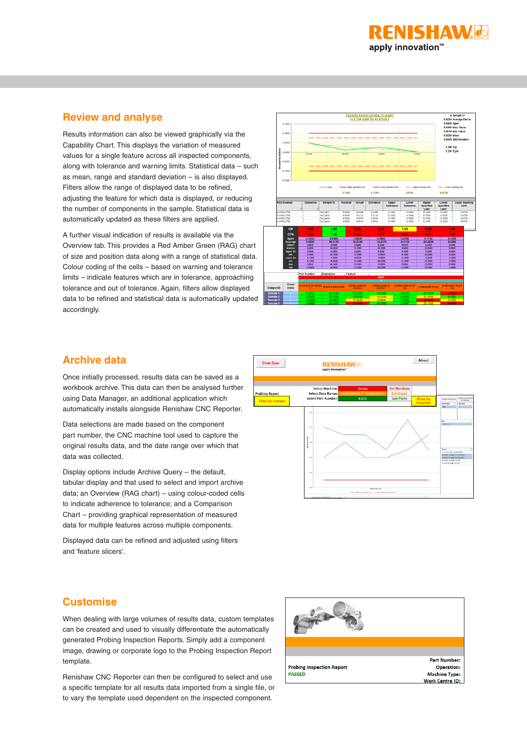

### **Review and analyse**

Results information can also be viewed graphically via the Capability Chart. This displays the variation of measured values for a single feature across all inspected components, along with tolerance and warning limits. Statistical data – such as mean, range and standard deviation – is also displayed. Filters allow the range of displayed data to be refined, adjusting the feature for which data is displayed, or reducing the number of components in the sample. Statistical data is automatically updated as these filters are applied.

A further visual indication of results is available via the Overview tab. This provides a Red Amber Green (RAG) chart of size and position data along with a range of statistical data. Colour coding of the cells – based on warning and tolerance limits – indicate features which are in tolerance, approaching tolerance and out of tolerance. Again, filters allow displayed data to be refined and statistical data is automatically updated accordingly.



### **Archive data**

Once initially processed, results data can be saved as a workbook archive. This data can then be analysed further using Data Manager, an additional application which automatically installs alongside Renishaw CNC Reporter.

Data selections are made based on the component part number, the CNC machine tool used to capture the original results data, and the date range over which that data was collected.

Display options include Archive Query – the default, tabular display and that used to select and import archive data; an Overview (RAG chart) – using colour-coded cells to indicate adherence to tolerance; and a Comparison Chart – providing graphical representation of measured data for multiple features across multiple components.

Displayed data can be refined and adjusted using filters and 'feature slicers'.



### **Customise**

When dealing with large volumes of results data, custom templates can be created and used to visually differentiate the automatically generated Probing Inspection Reports. Simply add a component image, drawing or corporate logo to the Probing Inspection Report template.

Renishaw CNC Reporter can then be configured to select and use a specific template for all results data imported from a single file, or to vary the template used dependent on the inspected component.